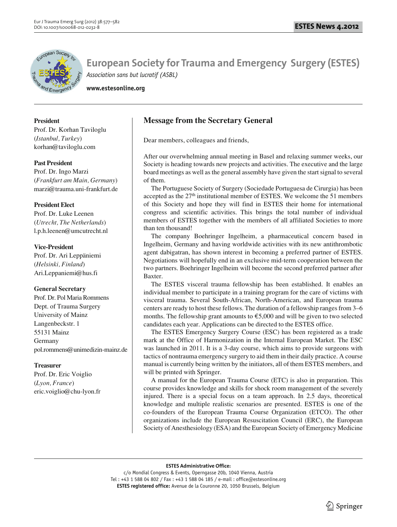

**www.estesonline.org**

# **President**

Prof. Dr. Korhan Taviloglu (*Istanbul, Turkey*) korhan@taviloglu.com

# **Past President**

Prof. Dr. Ingo Marzi (*Frankfurt am Main, Germany*) marzi@trauma.uni-frankfurt.de

# **President Elect**

Prof. Dr. Luke Leenen (*Utrecht, The Netherlands*) l.p.h.leenen@umcutrecht.nl

# **Vice-President**

Prof. Dr. Ari Leppäniemi (*Helsinki, Finland*) Ari.Leppaniemi@hus.fi

# **General Secretary**

Prof. Dr. Pol Maria Rommens Dept. of Trauma Surgery University of Mainz Langenbeckstr. 1 55131 Mainz Germany pol.rommens@unimedizin-mainz.de

# **Treasurer**

Prof. Dr. Eric Voiglio (*Lyon, France*) eric.voiglio@chu-lyon.fr

# **Message from the Secretary General**

Dear members, colleagues and friends,

After our overwhelming annual meeting in Basel and relaxing summer weeks, our Society is heading towards new projects and activities. The executive and the large board meetings as well as the general assembly have given the start signal to several of them.

The Portuguese Society of Surgery (Sociedade Portuguesa de Cirurgia) has been accepted as the  $27<sup>th</sup>$  institutional member of ESTES. We welcome the 51 members of this Society and hope they will find in ESTES their home for international congress and scientific activities. This brings the total number of individual members of ESTES together with the members of all affiliated Societies to more than ten thousand!

The company Boehringer Ingelheim, a pharmaceutical concern based in Ingelheim, Germany and having worldwide activities with its new antithrombotic agent dabigatran, has shown interest in becoming a preferred partner of ESTES. Negotiations will hopefully end in an exclusive mid-term cooperation between the two partners. Boehringer Ingelheim will become the second preferred partner after Baxter.

The ESTES visceral trauma fellowship has been established. It enables an individual member to participate in a training program for the care of victims with visceral trauma. Several South-African, North-American, and European trauma centers are ready to host these fellows. The duration of a fellowship ranges from 3–6 months. The fellowship grant amounts to  $\epsilon$ 5,000 and will be given to two selected candidates each year. Applications can be directed to the ESTES office.

The ESTES Emergency Surgery Course (ESC) has been registered as a trade mark at the Office of Harmonization in the Internal European Market. The ESC was launched in 2011. It is a 3-day course, which aims to provide surgeons with tactics of nontrauma emergency surgery to aid them in their daily practice. A course manual is currently being written by the initiators, all of them ESTES members, and will be printed with Springer.

A manual for the European Trauma Course (ETC) is also in preparation. This course provides knowledge and skills for shock room management of the severely injured. There is a special focus on a team approach. In 2.5 days, theoretical knowledge and multiple realistic scenarios are presented. ESTES is one of the co-founders of the European Trauma Course Organization (ETCO). The other organizations include the European Resuscitation Council (ERC), the European Society of Anesthesiology (ESA) and the European Society of Emergency Medicine

#### **ESTES Administrative Office:**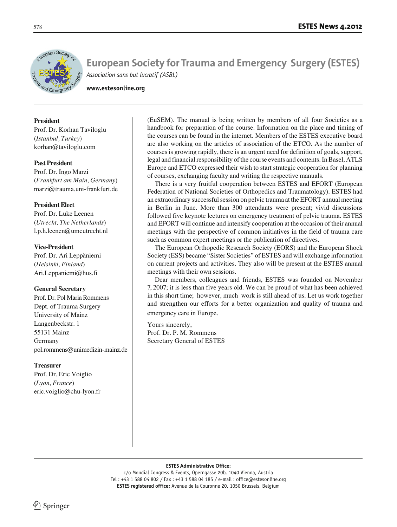

**www.estesonline.org**

### **President**

Prof. Dr. Korhan Taviloglu (*Istanbul, Turkey*) korhan@taviloglu.com

#### **Past President**

Prof. Dr. Ingo Marzi (*Frankfurt am Main, Germany*) marzi@trauma.uni-frankfurt.de

#### **President Elect**

Prof. Dr. Luke Leenen (*Utrecht, The Netherlands*) l.p.h.leenen@umcutrecht.nl

#### **Vice-President**

Prof. Dr. Ari Leppäniemi (*Helsinki, Finland*) Ari.Leppaniemi@hus.fi

#### **General Secretary**

Prof. Dr. Pol Maria Rommens Dept. of Trauma Surgery University of Mainz Langenbeckstr. 1 55131 Mainz Germany pol.rommens@unimedizin-mainz.de

# **Treasurer**

Prof. Dr. Eric Voiglio (*Lyon, France*) eric.voiglio@chu-lyon.fr (EuSEM). The manual is being written by members of all four Societies as a handbook for preparation of the course. Information on the place and timing of the courses can be found in the internet. Members of the ESTES executive board are also working on the articles of association of the ETCO. As the number of courses is growing rapidly, there is an urgent need for definition of goals, support, legal and financial responsibility of the course events and contents. In Basel, ATLS Europe and ETCO expressed their wish to start strategic cooperation for planning of courses, exchanging faculty and writing the respective manuals.

There is a very fruitful cooperation between ESTES and EFORT (European Federation of National Societies of Orthopedics and Traumatology). ESTES had an extraordinary successful session on pelvic trauma at the EFORT annual meeting in Berlin in June. More than 300 attendants were present; vivid discussions followed five keynote lectures on emergency treatment of pelvic trauma. ESTES and EFORT will continue and intensify cooperation at the occasion of their annual meetings with the perspective of common initiatives in the field of trauma care such as common expert meetings or the publication of directives.

The European Orthopedic Research Society (EORS) and the European Shock Society (ESS) became "Sister Societies" of ESTES and will exchange information on current projects and activities. They also will be present at the ESTES annual meetings with their own sessions.

Dear members, colleagues and friends, ESTES was founded on November 7, 2007; it is less than five years old. We can be proud of what has been achieved in this short time; however, much work is still ahead of us. Let us work together and strengthen our efforts for a better organization and quality of trauma and emergency care in Europe.

Yours sincerely, Prof. Dr. P. M. Rommens Secretary General of ESTES

#### **ESTES Administrative Office:**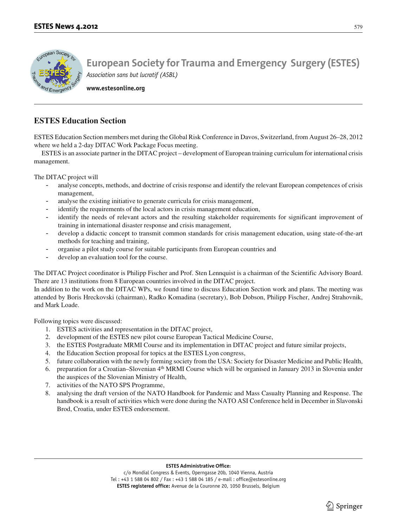

**www.estesonline.org**

# **ESTES Education Section**

ESTES Education Section members met during the Global Risk Conference in Davos, Switzerland, from August 26–28, 2012 where we held a 2-day DITAC Work Package Focus meeting.

ESTES is an associate partner in the DITAC project – development of European training curriculum for international crisis management.

The DITAC project will

- analyse concepts, methods, and doctrine of crisis response and identify the relevant European competences of crisis management,
- analyse the existing initiative to generate curricula for crisis management,
- identify the requirements of the local actors in crisis management education,
- identify the needs of relevant actors and the resulting stakeholder requirements for significant improvement of training in international disaster response and crisis management,
- develop a didactic concept to transmit common standards for crisis management education, using state-of-the-art methods for teaching and training,
- organise a pilot study course for suitable participants from European countries and
- develop an evaluation tool for the course.

The DITAC Project coordinator is Philipp Fischer and Prof. Sten Lennquist is a chairman of the Scientific Advisory Board. There are 13 institutions from 8 European countries involved in the DITAC project.

In addition to the work on the DITAC WPs, we found time to discuss Education Section work and plans. The meeting was attended by Boris Hreckovski (chairman), Radko Komadina (secretary), Bob Dobson, Philipp Fischer, Andrej Strahovnik, and Mark Loade.

Following topics were discussed:

- 1. ESTES activities and representation in the DITAC project,
- 2. development of the ESTES new pilot course European Tactical Medicine Course,
- 3. the ESTES Postgraduate MRMI Course and its implementation in DITAC project and future similar projects,
- 4. the Education Section proposal for topics at the ESTES Lyon congress,
- 5. future collaboration with the newly forming society from the USA: Society for Disaster Medicine and Public Health,
- 6. preparation for a Croatian–Slovenian 4<sup>th</sup> MRMI Course which will be organised in January 2013 in Slovenia under the auspices of the Slovenian Ministry of Health,
- 7. activities of the NATO SPS Programme,
- 8. analysing the draft version of the NATO Handbook for Pandemic and Mass Casualty Planning and Response. The handbook is a result of activities which were done during the NATO ASI Conference held in December in Slavonski Brod, Croatia, under ESTES endorsement.

#### **ESTES Administrative Office:**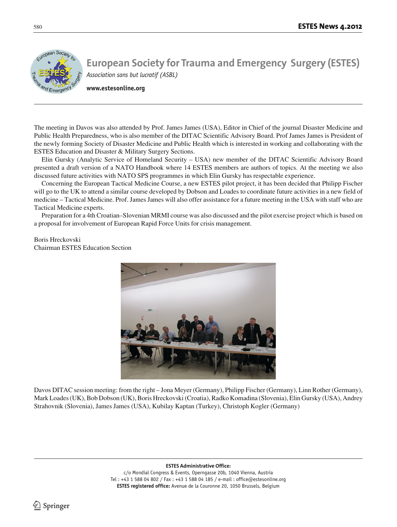

**www.estesonline.org**

The meeting in Davos was also attended by Prof. James James (USA), Editor in Chief of the journal Disaster Medicine and Public Health Preparedness, who is also member of the DITAC Scientific Advisory Board. Prof James James is President of the newly forming Society of Disaster Medicine and Public Health which is interested in working and collaborating with the ESTES Education and Disaster & Military Surgery Sections.

Elin Gursky (Analytic Service of Homeland Security – USA) new member of the DITAC Scientific Advisory Board presented a draft version of a NATO Handbook where 14 ESTES members are authors of topics. At the meeting we also discussed future activities with NATO SPS programmes in which Elin Gursky has respectable experience.

Concerning the European Tactical Medicine Course, a new ESTES pilot project, it has been decided that Philipp Fischer will go to the UK to attend a similar course developed by Dobson and Loades to coordinate future activities in a new field of medicine – Tactical Medicine. Prof. James James will also offer assistance for a future meeting in the USA with staff who are Tactical Medicine experts.

Preparation for a 4th Croatian–Slovenian MRMI course was also discussed and the pilot exercise project which is based on a proposal for involvement of European Rapid Force Units for crisis management.

Boris Hreckovski Chairman ESTES Education Section



Davos DITAC session meeting: from the right – Jona Meyer (Germany), Philipp Fischer (Germany), Linn Rother (Germany), Mark Loades (UK), Bob Dobson (UK), Boris Hreckovski (Croatia), Radko Komadina (Slovenia), Elin Gursky (USA), Andrey Strahovnik (Slovenia), James James (USA), Kubilay Kaptan (Turkey), Christoph Kogler (Germany)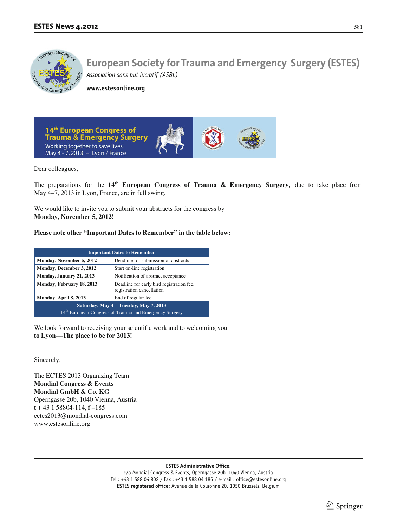

**www.estesonline.org**



Dear colleagues,

The preparations for the **14th European Congress of Trauma & Emergency Surgery,** due to take place from May 4–7, 2013 in Lyon, France, are in full swing.

We would like to invite you to submit your abstracts for the congress by **Monday, November 5, 2012!**

# **Please note other "Important Dates to Remember" in the table below:**

| <b>Important Dates to Remember</b>                                                                           |                                                                        |
|--------------------------------------------------------------------------------------------------------------|------------------------------------------------------------------------|
| Monday, November 5, 2012                                                                                     | Deadline for submission of abstracts                                   |
| Monday, December 3, 2012                                                                                     | Start on-line registration                                             |
| Monday, January 21, 2013                                                                                     | Notification of abstract acceptance                                    |
| Monday, February 18, 2013                                                                                    | Deadline for early bird registration fee,<br>registration cancellation |
| Monday, April 8, 2013                                                                                        | End of regular fee.                                                    |
| Saturday, May 4 – Tuesday, May 7, 2013<br>14 <sup>th</sup> European Congress of Trauma and Emergency Surgery |                                                                        |

We look forward to receiving your scientific work and to welcoming you **to Lyon—The place to be for 2013!**

Sincerely,

The ECTES 2013 Organizing Team **Mondial Congress & Events Mondial GmbH & Co. KG** Operngasse 20b, 1040 Vienna, Austria **t** + 43 1 58804-114, **f** –185 ectes2013@mondial-congress.com www.estesonline.org

#### **ESTES Administrative Office:**